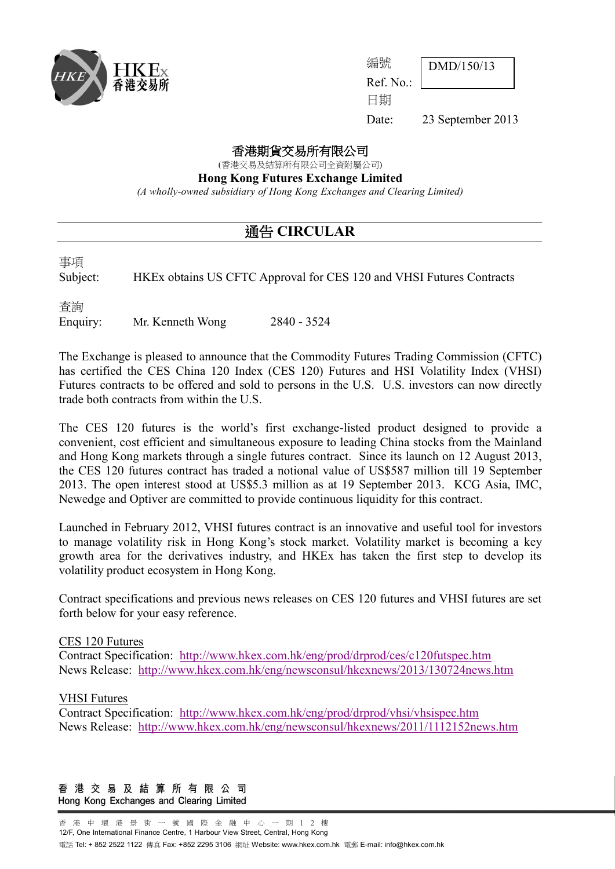

| 編號        | $\boxed{\text{DMD}/150/13}$ |
|-----------|-----------------------------|
| Ref. No.: |                             |
| 日期        |                             |

Date: 23 September 2013

#### 香港期貨交易所有限公司

(香港交易及結算所有限公司全資附屬公司)

**Hong Kong Futures Exchange Limited**

*(A wholly-owned subsidiary of Hong Kong Exchanges and Clearing Limited)*

## 通告 **CIRCULAR**

事項

Subject: HKEx obtains US CFTC Approval for CES 120 and VHSI Futures Contracts

查詢

Enquiry: Mr. Kenneth Wong 2840 - 3524

The Exchange is pleased to announce that the Commodity Futures Trading Commission (CFTC) has certified the CES China 120 Index (CES 120) Futures and HSI Volatility Index (VHSI) Futures contracts to be offered and sold to persons in the U.S. U.S. investors can now directly trade both contracts from within the U.S.

The CES 120 futures is the world's first exchange-listed product designed to provide a convenient, cost efficient and simultaneous exposure to leading China stocks from the Mainland and Hong Kong markets through a single futures contract. Since its launch on 12 August 2013, the CES 120 futures contract has traded a notional value of US\$587 million till 19 September 2013. The open interest stood at US\$5.3 million as at 19 September 2013. KCG Asia, IMC, Newedge and Optiver are committed to provide continuous liquidity for this contract.

Launched in February 2012, VHSI futures contract is an innovative and useful tool for investors to manage volatility risk in Hong Kong's stock market. Volatility market is becoming a key growth area for the derivatives industry, and HKEx has taken the first step to develop its volatility product ecosystem in Hong Kong.

Contract specifications and previous news releases on CES 120 futures and VHSI futures are set forth below for your easy reference.

#### CES 120 Futures

Contract Specification: <http://www.hkex.com.hk/eng/prod/drprod/ces/c120futspec.htm> News Release: <http://www.hkex.com.hk/eng/newsconsul/hkexnews/2013/130724news.htm>

### VHSI Futures

Contract Specification: <http://www.hkex.com.hk/eng/prod/drprod/vhsi/vhsispec.htm> News Release: <http://www.hkex.com.hk/eng/newsconsul/hkexnews/2011/1112152news.htm>

#### 香港交易及結算所有限公司 Hong Kong Exchanges and Clearing Limited